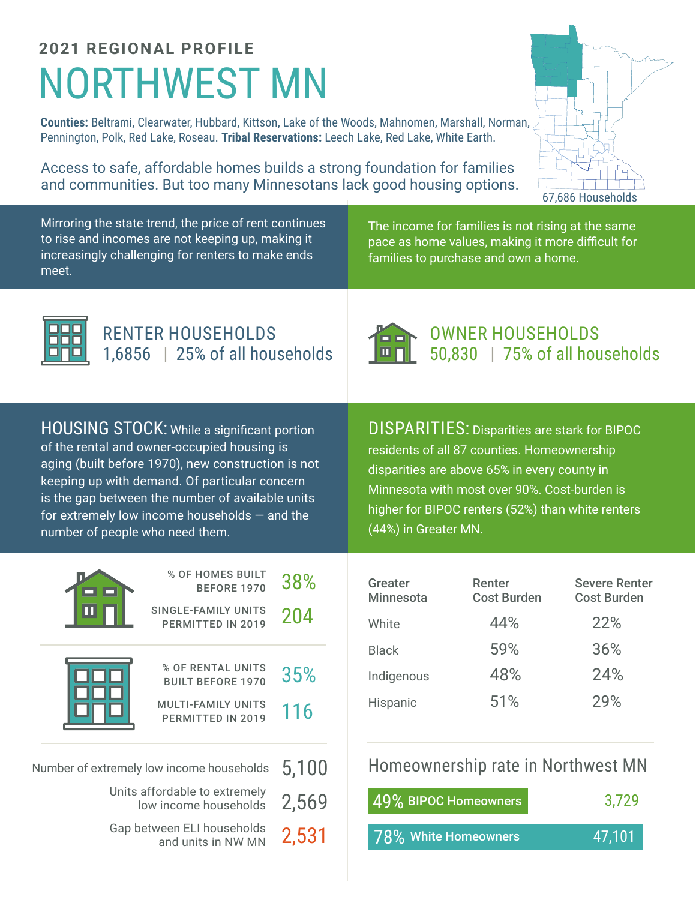## NORTHWEST MN **2021 REGIONAL PROFILE**

**Counties:** Beltrami, Clearwater, Hubbard, Kittson, Lake of the Woods, Mahnomen, Marshall, Norman, Pennington, Polk, Red Lake, Roseau. **Tribal Reservations:** Leech Lake, Red Lake, White Earth.

Access to safe, affordable homes builds a strong foundation for families and communities. But too many Minnesotans lack good housing options.

67,686 Households

Mirroring the state trend, the price of rent continues to rise and incomes are not keeping up, making it increasingly challenging for renters to make ends meet.

The income for families is not rising at the same pace as home values, making it more difficult for families to purchase and own a home.



RENTER HOUSEHOLDS 1,6856 | 25% of all households



OWNER HOUSEHOLDS 50,830 | 75% of all households

HOUSING STOCK: While a significant portion of the rental and owner-occupied housing is aging (built before 1970), new construction is not keeping up with demand. Of particular concern is the gap between the number of available units for extremely low income households — and the number of people who need them.

DISPARITIES: Disparities are stark for BIPOC residents of all 87 counties. Homeownership disparities are above 65% in every county in Minnesota with most over 90%. Cost-burden is higher for BIPOC renters (52%) than white renters (44%) in Greater MN.

|                                                                                                     | % OF HOMES BUILT<br><b>BEFORE 1970</b>                                                          | 38%        |  |
|-----------------------------------------------------------------------------------------------------|-------------------------------------------------------------------------------------------------|------------|--|
|                                                                                                     | SINGLE-FAMILY UNITS<br>PERMITTED IN 2019                                                        | 204        |  |
|                                                                                                     | % OF RENTAL UNITS<br><b>BUILT BEFORE 1970</b><br><b>MULTI-FAMILY UNITS</b><br>PERMITTED IN 2019 | 35%<br>116 |  |
| Number of extremely low income households<br>Units affordable to extremely<br>low income households | 5,100<br>2,569                                                                                  |            |  |
|                                                                                                     |                                                                                                 |            |  |

Gap between ELI households and units in NW MN 2,531

| Greater<br><b>Minnesota</b> | Renter<br><b>Cost Burden</b> | <b>Severe Renter</b><br><b>Cost Burden</b> |
|-----------------------------|------------------------------|--------------------------------------------|
| White                       | 44%                          | 22%                                        |
| <b>Black</b>                | 59%                          | 36%                                        |
| Indigenous                  | 48%                          | 24%                                        |
| Hispanic                    | 51%                          | 29%                                        |

Homeownership rate in Northwest MN

| 49% BIPOC Homeowners  | 3.729  |  |  |
|-----------------------|--------|--|--|
| 178% White Homeowners | 47.101 |  |  |